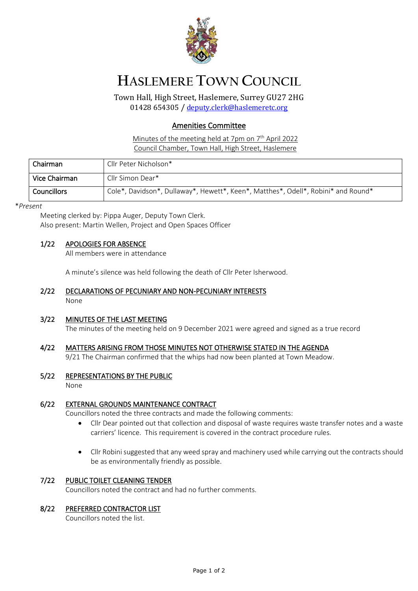

# **HASLEMERE TOWN COUNCIL**

Town Hall, High Street, Haslemere, Surrey GU27 2HG 01428 654305 / [deputy.clerk@haslemeretc.org](mailto:deputy.clerk@haslemeretc.org)

## Amenities Committee

Minutes of the meeting held at 7pm on 7<sup>th</sup> April 2022 Council Chamber, Town Hall, High Street, Haslemere

| Chairman           | Cllr Peter Nicholson*                                                             |
|--------------------|-----------------------------------------------------------------------------------|
| Vice Chairman      | Cllr Simon Dear*                                                                  |
| <b>Councillors</b> | Cole*, Davidson*, Dullaway*, Hewett*, Keen*, Matthes*, Odell*, Robini* and Round* |

#### \**Present*

Meeting clerked by: Pippa Auger, Deputy Town Clerk. Also present: Martin Wellen, Project and Open Spaces Officer

#### 1/22 APOLOGIES FOR ABSENCE

All members were in attendance

A minute's silence was held following the death of Cllr Peter Isherwood.

- 2/22 DECLARATIONS OF PECUNIARY AND NON-PECUNIARY INTERESTS None
- 3/22 MINUTES OF THE LAST MEETING The minutes of the meeting held on 9 December 2021 were agreed and signed as a true record

## 4/22 MATTERS ARISING FROM THOSE MINUTES NOT OTHERWISE STATED IN THE AGENDA

9/21 The Chairman confirmed that the whips had now been planted at Town Meadow.

#### 5/22 REPRESENTATIONS BY THE PUBLIC

None

### 6/22 EXTERNAL GROUNDS MAINTENANCE CONTRACT

Councillors noted the three contracts and made the following comments:

- Cllr Dear pointed out that collection and disposal of waste requires waste transfer notes and a waste carriers' licence. This requirement is covered in the contract procedure rules.
- Cllr Robini suggested that any weed spray and machinery used while carrying out the contracts should be as environmentally friendly as possible.

#### 7/22 PUBLIC TOILET CLEANING TENDER

Councillors noted the contract and had no further comments.

#### 8/22 PREFERRED CONTRACTOR LIST

Councillors noted the list.